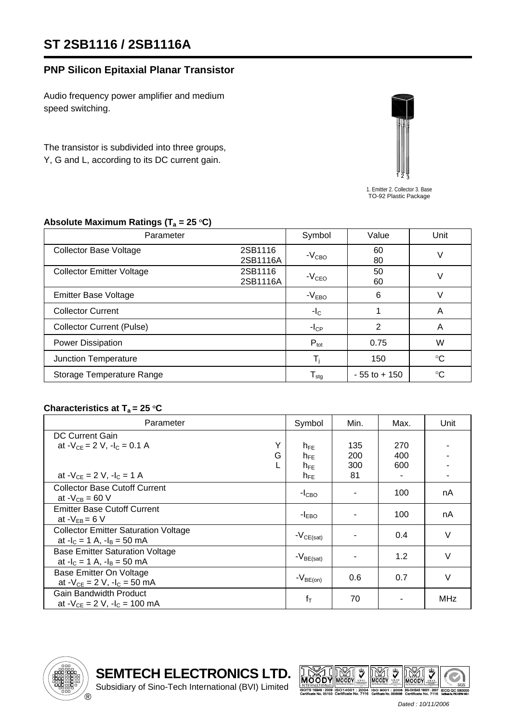# **ST 2SB1116 / 2SB1116A**

### **PNP Silicon Epitaxial Planar Transistor**

Audio frequency power amplifier and medium speed switching.

The transistor is subdivided into three groups, Y, G and L, according to its DC current gain.



1. Emitter 2. Collector 3. Base TO-92 Plastic Package

| $\sqrt{2}$<br>$\mathbf{r}$       |                     |                            |                 |                 |  |  |
|----------------------------------|---------------------|----------------------------|-----------------|-----------------|--|--|
| Parameter                        |                     | Symbol                     | Value           | Unit            |  |  |
| <b>Collector Base Voltage</b>    | 2SB1116<br>2SB1116A | $-VCBO$                    | 60<br>80        | V               |  |  |
| <b>Collector Emitter Voltage</b> | 2SB1116<br>2SB1116A | $-VCEO$                    | 50<br>60        | V               |  |  |
| <b>Emitter Base Voltage</b>      |                     | $-VEBO$                    | 6               |                 |  |  |
| <b>Collector Current</b>         |                     | $-I_{C}$                   | 1               | A               |  |  |
| <b>Collector Current (Pulse)</b> |                     | $-I_{CP}$                  | 2               | A               |  |  |
| Power Dissipation                |                     | $P_{\text{tot}}$           | 0.75            | W               |  |  |
| Junction Temperature             |                     |                            | 150             | $\rm ^{\circ}C$ |  |  |
| Storage Temperature Range        |                     | ${\mathsf T}_{\text{stg}}$ | $-55$ to $+150$ | $^{\circ}C$     |  |  |

#### Absolute Maximum Ratings (T<sub>a</sub> = 25 °C)

#### Characteristics at  $T_a = 25 \degree C$

| Parameter                                   | Symbol         | Min. | Max. | Unit       |
|---------------------------------------------|----------------|------|------|------------|
| <b>DC Current Gain</b>                      |                |      |      |            |
| Y<br>at $-V_{CF} = 2 V$ . $-I_C = 0.1 A$    | $h_{FF}$       | 135  | 270  |            |
| G                                           | $h_{FE}$       | 200  | 400  |            |
|                                             | $h_{FE}$       | 300  | 600  |            |
| at $-V_{CF} = 2 V$ , $-I_C = 1 A$           | $h_{FE}$       | 81   |      |            |
| <b>Collector Base Cutoff Current</b>        |                |      |      |            |
| at $-V_{CB} = 60 V$                         | $-ICBO$        |      | 100  | nA         |
| <b>Emitter Base Cutoff Current</b>          |                |      | 100  |            |
| at $-V_{FB} = 6 V$                          | $-IEBO$        |      |      | nA         |
| <b>Collector Emitter Saturation Voltage</b> |                |      | 0.4  | $\vee$     |
| at $-I_c = 1$ A, $-I_B = 50$ mA             | $-V_{CE(sat)}$ |      |      |            |
| <b>Base Emitter Saturation Voltage</b>      |                |      | 1.2  | $\vee$     |
| at $-I_c = 1$ A, $-I_B = 50$ mA             | $-V_{BE(sat)}$ |      |      |            |
| Base Emitter On Voltage                     |                | 0.6  | 0.7  | $\vee$     |
| at $-V_{CE} = 2 V$ , $-I_C = 50 mA$         | $-V_{BE(on)}$  |      |      |            |
| <b>Gain Bandwidth Product</b>               |                |      |      | <b>MHz</b> |
| at $-V_{CF}$ = 2 V, $-I_C$ = 100 mA         | $f_T$          | 70   |      |            |







 *Dated : 10/11/2006*